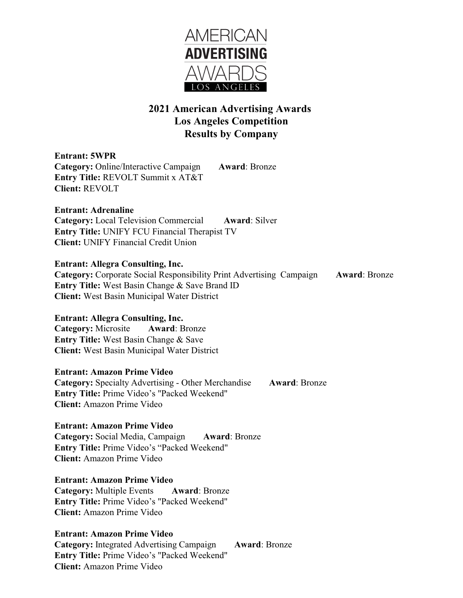

# **2021 American Advertising Awards Los Angeles Competition Results by Company**

**Entrant: 5WPR Category:** Online/Interactive Campaign **Award**: Bronze **Entry Title:** REVOLT Summit x AT&T **Client:** REVOLT

**Entrant: Adrenaline Category:** Local Television Commercial **Award**: Silver **Entry Title:** UNIFY FCU Financial Therapist TV **Client:** UNIFY Financial Credit Union

## **Entrant: Allegra Consulting, Inc.**

**Category:** Corporate Social Responsibility Print Advertising Campaign **Award**: Bronze **Entry Title:** West Basin Change & Save Brand ID **Client:** West Basin Municipal Water District

# **Entrant: Allegra Consulting, Inc.**

**Category:** Microsite **Award**: Bronze **Entry Title:** West Basin Change & Save **Client:** West Basin Municipal Water District

### **Entrant: Amazon Prime Video**

**Category:** Specialty Advertising - Other Merchandise **Award**: Bronze **Entry Title:** Prime Video's "Packed Weekend" **Client:** Amazon Prime Video

# **Entrant: Amazon Prime Video**

**Category:** Social Media, Campaign **Award**: Bronze **Entry Title:** Prime Video's "Packed Weekend" **Client:** Amazon Prime Video

# **Entrant: Amazon Prime Video**

**Category:** Multiple Events **Award**: Bronze **Entry Title:** Prime Video's "Packed Weekend" **Client:** Amazon Prime Video

# **Entrant: Amazon Prime Video**

**Category:** Integrated Advertising Campaign **Award**: Bronze **Entry Title:** Prime Video's "Packed Weekend" **Client:** Amazon Prime Video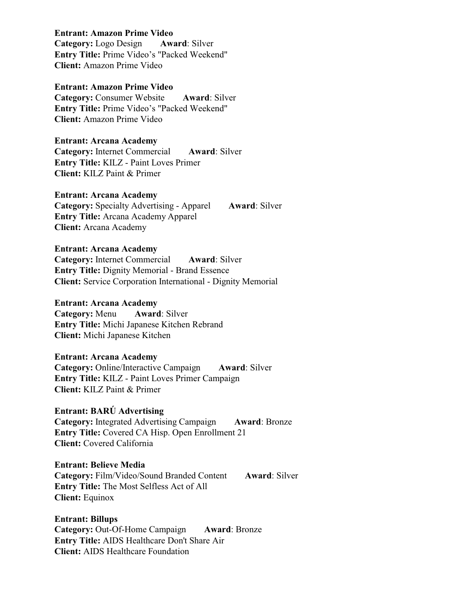#### **Entrant: Amazon Prime Video**

**Category:** Logo Design **Award**: Silver **Entry Title:** Prime Video's "Packed Weekend" **Client:** Amazon Prime Video

## **Entrant: Amazon Prime Video**

**Category:** Consumer Website **Award**: Silver **Entry Title:** Prime Video's "Packed Weekend" **Client:** Amazon Prime Video

## **Entrant: Arcana Academy**

**Category:** Internet Commercial **Award**: Silver **Entry Title:** KILZ - Paint Loves Primer **Client:** KILZ Paint & Primer

#### **Entrant: Arcana Academy**

**Category:** Specialty Advertising - Apparel **Award**: Silver **Entry Title:** Arcana Academy Apparel **Client:** Arcana Academy

#### **Entrant: Arcana Academy**

**Category:** Internet Commercial **Award**: Silver **Entry Title:** Dignity Memorial - Brand Essence **Client:** Service Corporation International - Dignity Memorial

#### **Entrant: Arcana Academy**

**Category:** Menu **Award**: Silver **Entry Title:** Michi Japanese Kitchen Rebrand **Client:** Michi Japanese Kitchen

#### **Entrant: Arcana Academy**

**Category:** Online/Interactive Campaign **Award**: Silver **Entry Title:** KILZ - Paint Loves Primer Campaign **Client:** KILZ Paint & Primer

#### **Entrant: BARÚ Advertising**

**Category:** Integrated Advertising Campaign **Award**: Bronze **Entry Title:** Covered CA Hisp. Open Enrollment 21 **Client:** Covered California

#### **Entrant: Believe Media**

**Category:** Film/Video/Sound Branded Content **Award**: Silver **Entry Title:** The Most Selfless Act of All **Client:** Equinox

**Entrant: Billups Category:** Out-Of-Home Campaign **Award**: Bronze **Entry Title:** AIDS Healthcare Don't Share Air **Client:** AIDS Healthcare Foundation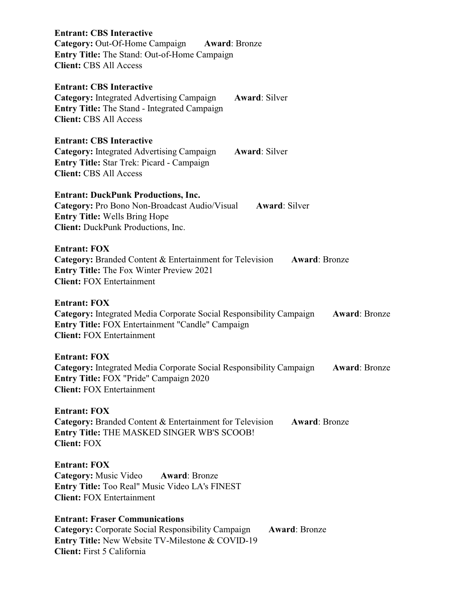| <b>Entrant: CBS Interactive</b><br><b>Category:</b> Out-Of-Home Campaign Award: Bronze<br>Entry Title: The Stand: Out-of-Home Campaign<br><b>Client: CBS All Access</b>                                                    |
|----------------------------------------------------------------------------------------------------------------------------------------------------------------------------------------------------------------------------|
| <b>Entrant: CBS Interactive</b><br><b>Category:</b> Integrated Advertising Campaign<br><b>Award: Silver</b><br><b>Entry Title:</b> The Stand - Integrated Campaign<br><b>Client: CBS All Access</b>                        |
| <b>Entrant: CBS Interactive</b><br><b>Category:</b> Integrated Advertising Campaign<br><b>Award: Silver</b><br><b>Entry Title: Star Trek: Picard - Campaign</b><br><b>Client: CBS All Access</b>                           |
| <b>Entrant: DuckPunk Productions, Inc.</b><br>Category: Pro Bono Non-Broadcast Audio/Visual<br><b>Award: Silver</b><br><b>Entry Title: Wells Bring Hope</b><br><b>Client:</b> DuckPunk Productions, Inc.                   |
| <b>Entrant: FOX</b><br><b>Category:</b> Branded Content & Entertainment for Television<br><b>Award: Bronze</b><br><b>Entry Title:</b> The Fox Winter Preview 2021<br><b>Client: FOX Entertainment</b>                      |
| <b>Entrant: FOX</b><br><b>Category:</b> Integrated Media Corporate Social Responsibility Campaign<br><b>Award: Bronze</b><br>Entry Title: FOX Entertainment "Candle" Campaign<br><b>Client: FOX Entertainment</b>          |
| <b>Entrant: FOX</b><br>Category: Integrated Media Corporate Social Responsibility Campaign<br><b>Award: Bronze</b><br><b>Entry Title: FOX "Pride" Campaign 2020</b><br><b>Client: FOX Entertainment</b>                    |
| <b>Entrant: FOX</b><br>Category: Branded Content & Entertainment for Television<br><b>Award: Bronze</b><br><b>Entry Title: THE MASKED SINGER WB'S SCOOB!</b><br><b>Client: FOX</b>                                         |
| <b>Entrant: FOX</b><br><b>Category:</b> Music Video Award: Bronze<br><b>Entry Title:</b> Too Real" Music Video LA's FINEST<br><b>Client: FOX Entertainment</b>                                                             |
| <b>Entrant: Fraser Communications</b><br><b>Category:</b> Corporate Social Responsibility Campaign<br><b>Award: Bronze</b><br><b>Entry Title:</b> New Website TV-Milestone & COVID-19<br><b>Client:</b> First 5 California |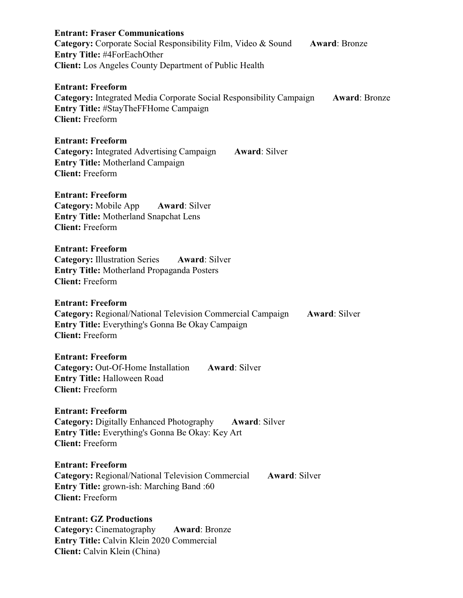| <b>Entrant: Fraser Communications</b><br><b>Category:</b> Corporate Social Responsibility Film, Video & Sound<br><b>Award: Bronze</b><br>Entry Title: #4ForEachOther<br><b>Client:</b> Los Angeles County Department of Public Health |
|---------------------------------------------------------------------------------------------------------------------------------------------------------------------------------------------------------------------------------------|
| <b>Entrant: Freeform</b><br>Category: Integrated Media Corporate Social Responsibility Campaign<br><b>Award: Bronze</b><br>Entry Title: #StayTheFFHome Campaign<br><b>Client:</b> Freeform                                            |
| <b>Entrant: Freeform</b><br><b>Category:</b> Integrated Advertising Campaign<br><b>Award: Silver</b><br><b>Entry Title: Motherland Campaign</b><br><b>Client: Freeform</b>                                                            |
| <b>Entrant: Freeform</b><br>Category: Mobile App<br><b>Award: Silver</b><br><b>Entry Title: Motherland Snapchat Lens</b><br><b>Client:</b> Freeform                                                                                   |
| <b>Entrant: Freeform</b><br><b>Category: Illustration Series</b><br><b>Award: Silver</b><br><b>Entry Title:</b> Motherland Propaganda Posters<br><b>Client:</b> Freeform                                                              |
| <b>Entrant: Freeform</b><br><b>Category:</b> Regional/National Television Commercial Campaign<br><b>Award: Silver</b><br>Entry Title: Everything's Gonna Be Okay Campaign<br><b>Client:</b> Freeform                                  |
| <b>Entrant: Freeform</b><br>Category: Out-Of-Home Installation<br><b>Award: Silver</b><br>Entry Title: Halloween Road<br><b>Client:</b> Freeform                                                                                      |
| <b>Entrant: Freeform</b><br><b>Category: Digitally Enhanced Photography</b><br><b>Award: Silver</b><br><b>Entry Title:</b> Everything's Gonna Be Okay: Key Art<br><b>Client: Freeform</b>                                             |
| <b>Entrant: Freeform</b><br><b>Category:</b> Regional/National Television Commercial<br><b>Award: Silver</b><br>Entry Title: grown-ish: Marching Band:60<br><b>Client: Freeform</b>                                                   |
| <b>Entrant: GZ Productions</b><br><b>Category:</b> Cinematography<br><b>Award: Bronze</b><br>Entry Title: Calvin Klein 2020 Commercial<br>Client: Calvin Klein (China)                                                                |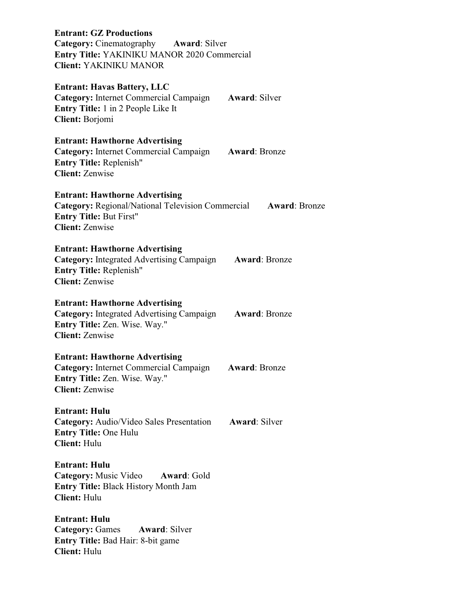**Entrant: GZ Productions Category:** Cinematography **Award**: Silver **Entry Title:** YAKINIKU MANOR 2020 Commercial **Client:** YAKINIKU MANOR **Entrant: Havas Battery, LLC Category:** Internet Commercial Campaign **Award**: Silver **Entry Title:** 1 in 2 People Like It **Client:** Borjomi **Entrant: Hawthorne Advertising Category:** Internet Commercial Campaign **Award**: Bronze **Entry Title:** Replenish" **Client:** Zenwise **Entrant: Hawthorne Advertising Category:** Regional/National Television Commercial **Award**: Bronze **Entry Title:** But First" **Client:** Zenwise **Entrant: Hawthorne Advertising Category:** Integrated Advertising Campaign **Award**: Bronze **Entry Title:** Replenish" **Client:** Zenwise **Entrant: Hawthorne Advertising Category:** Integrated Advertising Campaign **Award**: Bronze **Entry Title:** Zen. Wise. Way." **Client:** Zenwise **Entrant: Hawthorne Advertising Category:** Internet Commercial Campaign **Award**: Bronze **Entry Title:** Zen. Wise. Way." **Client:** Zenwise **Entrant: Hulu Category:** Audio/Video Sales Presentation **Award**: Silver **Entry Title:** One Hulu **Client:** Hulu **Entrant: Hulu Category:** Music Video **Award**: Gold **Entry Title:** Black History Month Jam **Client:** Hulu **Entrant: Hulu Category: Games Award: Silver Entry Title:** Bad Hair: 8-bit game **Client:** Hulu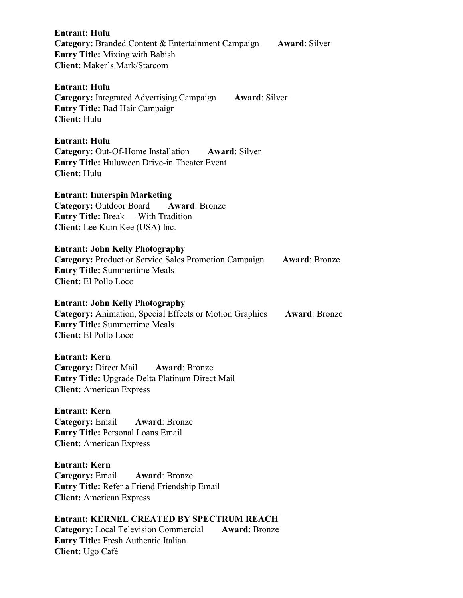| <b>Entrant: Hulu</b><br><b>Category:</b> Branded Content & Entertainment Campaign<br><b>Entry Title:</b> Mixing with Babish<br><b>Client:</b> Maker's Mark/Starcom               | <b>Award: Silver</b> |
|----------------------------------------------------------------------------------------------------------------------------------------------------------------------------------|----------------------|
| <b>Entrant: Hulu</b><br><b>Category:</b> Integrated Advertising Campaign<br><b>Award: Silver</b><br><b>Entry Title: Bad Hair Campaign</b><br><b>Client: Hulu</b>                 |                      |
| <b>Entrant: Hulu</b><br><b>Category:</b> Out-Of-Home Installation Award: Silver<br><b>Entry Title:</b> Huluween Drive-in Theater Event<br><b>Client: Hulu</b>                    |                      |
| <b>Entrant: Innerspin Marketing</b><br>Category: Outdoor Board Award: Bronze<br><b>Entry Title: Break — With Tradition</b><br>Client: Lee Kum Kee (USA) Inc.                     |                      |
| <b>Entrant: John Kelly Photography</b><br><b>Category: Product or Service Sales Promotion Campaign</b><br><b>Entry Title: Summertime Meals</b><br>Client: El Pollo Loco          | <b>Award: Bronze</b> |
| <b>Entrant: John Kelly Photography</b><br>Category: Animation, Special Effects or Motion Graphics Award: Bronze<br><b>Entry Title: Summertime Meals</b><br>Client: El Pollo Loco |                      |
| Entrant: Kern<br><b>Category: Direct Mail</b><br><b>Award: Bronze</b><br>Entry Title: Upgrade Delta Platinum Direct Mail<br><b>Client:</b> American Express                      |                      |
| <b>Entrant: Kern</b><br>Category: Email Award: Bronze<br><b>Entry Title: Personal Loans Email</b><br><b>Client:</b> American Express                                             |                      |
| <b>Entrant: Kern</b><br><b>Category: Email</b><br><b>Award: Bronze</b><br>Entry Title: Refer a Friend Friendship Email<br><b>Client:</b> American Express                        |                      |
| Entrant: KERNEL CREATED BY SPECTRUM REACH<br><b>Category:</b> Local Television Commercial<br><b>Award: Bronze</b><br>Entry Title: Fresh Authentic Italian<br>Client: Ugo Café    |                      |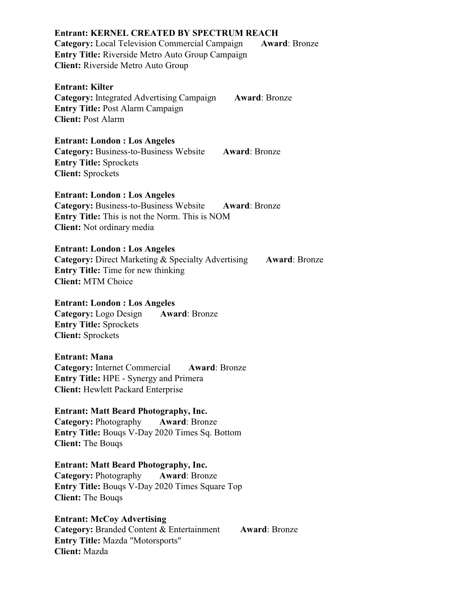# **Entrant: KERNEL CREATED BY SPECTRUM REACH Category:** Local Television Commercial Campaign **Award:** Bronze **Entry Title:** Riverside Metro Auto Group Campaign **Client:** Riverside Metro Auto Group **Entrant: Kilter Category:** Integrated Advertising Campaign **Award**: Bronze **Entry Title:** Post Alarm Campaign **Client:** Post Alarm **Entrant: London : Los Angeles Category:** Business-to-Business Website **Award**: Bronze **Entry Title:** Sprockets **Client:** Sprockets **Entrant: London : Los Angeles Category:** Business-to-Business Website **Award**: Bronze **Entry Title:** This is not the Norm. This is NOM **Client:** Not ordinary media **Entrant: London : Los Angeles Category:** Direct Marketing & Specialty Advertising **Award:** Bronze **Entry Title:** Time for new thinking **Client:** MTM Choice **Entrant: London : Los Angeles Category:** Logo Design **Award**: Bronze **Entry Title:** Sprockets **Client:** Sprockets **Entrant: Mana Category:** Internet Commercial **Award**: Bronze **Entry Title:** HPE - Synergy and Primera

**Client:** Hewlett Packard Enterprise

**Entrant: Matt Beard Photography, Inc. Category:** Photography **Award**: Bronze **Entry Title:** Bouqs V-Day 2020 Times Sq. Bottom **Client:** The Bouqs

**Entrant: Matt Beard Photography, Inc. Category:** Photography **Award**: Bronze **Entry Title:** Bouqs V-Day 2020 Times Square Top **Client:** The Bouqs

**Entrant: McCoy Advertising Category:** Branded Content & Entertainment **Award**: Bronze **Entry Title:** Mazda "Motorsports" **Client:** Mazda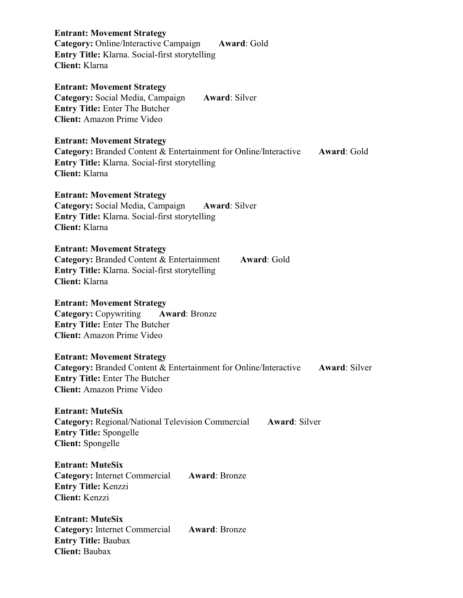| <b>Entrant: Movement Strategy</b><br>Category: Online/Interactive Campaign<br>Award: Gold<br>Entry Title: Klarna. Social-first storytelling<br><b>Client:</b> Klarna                                               |
|--------------------------------------------------------------------------------------------------------------------------------------------------------------------------------------------------------------------|
| <b>Entrant: Movement Strategy</b><br>Category: Social Media, Campaign<br><b>Award: Silver</b><br><b>Entry Title: Enter The Butcher</b><br><b>Client:</b> Amazon Prime Video                                        |
| <b>Entrant: Movement Strategy</b><br><b>Category:</b> Branded Content & Entertainment for Online/Interactive<br><b>Award: Gold</b><br>Entry Title: Klarna. Social-first storytelling<br><b>Client:</b> Klarna      |
| <b>Entrant: Movement Strategy</b><br>Category: Social Media, Campaign<br><b>Award: Silver</b><br>Entry Title: Klarna. Social-first storytelling<br><b>Client:</b> Klarna                                           |
| <b>Entrant: Movement Strategy</b><br><b>Category:</b> Branded Content & Entertainment<br>Award: Gold<br><b>Entry Title:</b> Klarna. Social-first storytelling<br><b>Client:</b> Klarna                             |
| <b>Entrant: Movement Strategy</b><br><b>Category: Copywriting</b><br><b>Award: Bronze</b><br><b>Entry Title: Enter The Butcher</b><br><b>Client:</b> Amazon Prime Video                                            |
| <b>Entrant: Movement Strategy</b><br><b>Category:</b> Branded Content & Entertainment for Online/Interactive<br><b>Award: Silver</b><br><b>Entry Title:</b> Enter The Butcher<br><b>Client:</b> Amazon Prime Video |
| <b>Entrant: MuteSix</b><br><b>Category:</b> Regional/National Television Commercial<br><b>Award: Silver</b><br><b>Entry Title: Spongelle</b><br>Client: Spongelle                                                  |
| <b>Entrant: MuteSix</b><br><b>Category:</b> Internet Commercial<br><b>Award: Bronze</b><br><b>Entry Title: Kenzzi</b><br>Client: Kenzzi                                                                            |
| <b>Entrant: MuteSix</b><br><b>Category:</b> Internet Commercial<br><b>Award: Bronze</b><br><b>Entry Title: Baubax</b><br><b>Client: Baubax</b>                                                                     |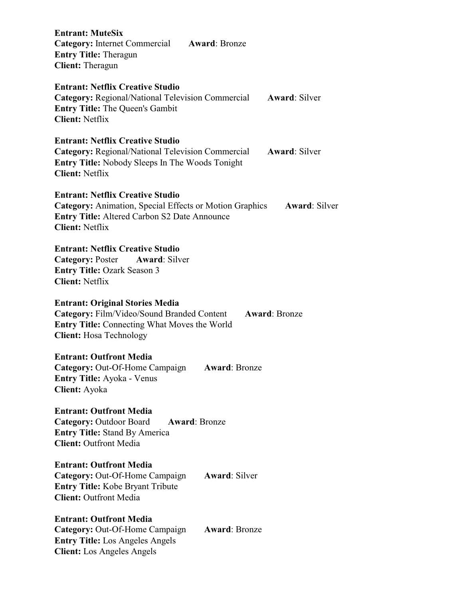| <b>Entrant: MuteSix</b><br><b>Category:</b> Internet Commercial<br><b>Award: Bronze</b><br><b>Entry Title: Theragun</b><br><b>Client:</b> Theragun                                                                 |
|--------------------------------------------------------------------------------------------------------------------------------------------------------------------------------------------------------------------|
| <b>Entrant: Netflix Creative Studio</b><br><b>Category:</b> Regional/National Television Commercial<br><b>Award: Silver</b><br><b>Entry Title:</b> The Queen's Gambit<br><b>Client: Netflix</b>                    |
| <b>Entrant: Netflix Creative Studio</b><br><b>Category:</b> Regional/National Television Commercial<br><b>Award: Silver</b><br><b>Entry Title:</b> Nobody Sleeps In The Woods Tonight<br><b>Client: Netflix</b>    |
| <b>Entrant: Netflix Creative Studio</b><br><b>Category:</b> Animation, Special Effects or Motion Graphics<br><b>Award: Silver</b><br><b>Entry Title: Altered Carbon S2 Date Announce</b><br><b>Client: Netflix</b> |
| <b>Entrant: Netflix Creative Studio</b><br><b>Category: Poster Award: Silver</b><br><b>Entry Title: Ozark Season 3</b><br><b>Client: Netflix</b>                                                                   |
| <b>Entrant: Original Stories Media</b><br>Category: Film/Video/Sound Branded Content<br><b>Award: Bronze</b><br><b>Entry Title:</b> Connecting What Moves the World<br><b>Client:</b> Hosa Technology              |
| <b>Entrant: Outfront Media</b><br>Category: Out-Of-Home Campaign<br><b>Award: Bronze</b><br><b>Entry Title:</b> Ayoka - Venus<br>Client: Ayoka                                                                     |
| <b>Entrant: Outfront Media</b><br><b>Category: Outdoor Board</b><br><b>Award: Bronze</b><br><b>Entry Title:</b> Stand By America<br><b>Client: Outfront Media</b>                                                  |
| <b>Entrant: Outfront Media</b><br>Category: Out-Of-Home Campaign<br><b>Award: Silver</b><br><b>Entry Title:</b> Kobe Bryant Tribute<br><b>Client: Outfront Media</b>                                               |
| <b>Entrant: Outfront Media</b><br>Category: Out-Of-Home Campaign<br><b>Award: Bronze</b><br><b>Entry Title:</b> Los Angeles Angels<br><b>Client:</b> Los Angeles Angels                                            |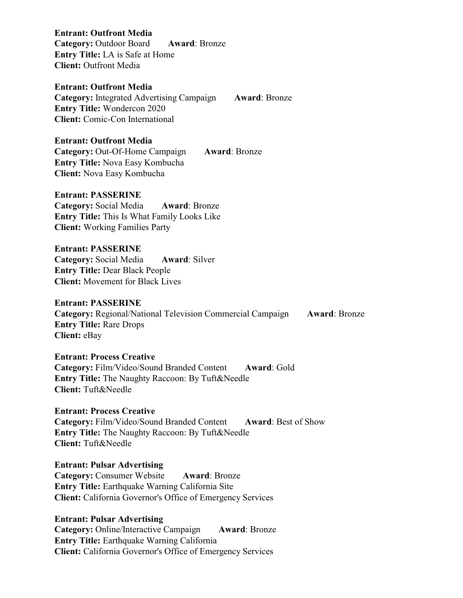**Entrant: Outfront Media** 

**Category:** Outdoor Board **Award**: Bronze **Entry Title:** LA is Safe at Home **Client:** Outfront Media

# **Entrant: Outfront Media**

**Category:** Integrated Advertising Campaign **Award**: Bronze **Entry Title:** Wondercon 2020 **Client:** Comic-Con International

#### **Entrant: Outfront Media**

**Category:** Out-Of-Home Campaign **Award**: Bronze **Entry Title:** Nova Easy Kombucha **Client:** Nova Easy Kombucha

#### **Entrant: PASSERINE**

**Category:** Social Media **Award**: Bronze **Entry Title:** This Is What Family Looks Like **Client:** Working Families Party

# **Entrant: PASSERINE**

**Category:** Social Media **Award**: Silver **Entry Title:** Dear Black People **Client:** Movement for Black Lives

#### **Entrant: PASSERINE**

**Category:** Regional/National Television Commercial Campaign **Award**: Bronze **Entry Title:** Rare Drops **Client:** eBay

## **Entrant: Process Creative**

**Category:** Film/Video/Sound Branded Content **Award**: Gold **Entry Title:** The Naughty Raccoon: By Tuft&Needle **Client:** Tuft&Needle

## **Entrant: Process Creative**

**Category:** Film/Video/Sound Branded Content **Award**: Best of Show **Entry Title:** The Naughty Raccoon: By Tuft&Needle **Client:** Tuft&Needle

### **Entrant: Pulsar Advertising**

**Category:** Consumer Website **Award**: Bronze **Entry Title:** Earthquake Warning California Site **Client:** California Governor's Office of Emergency Services

## **Entrant: Pulsar Advertising**

**Category:** Online/Interactive Campaign **Award**: Bronze **Entry Title:** Earthquake Warning California **Client:** California Governor's Office of Emergency Services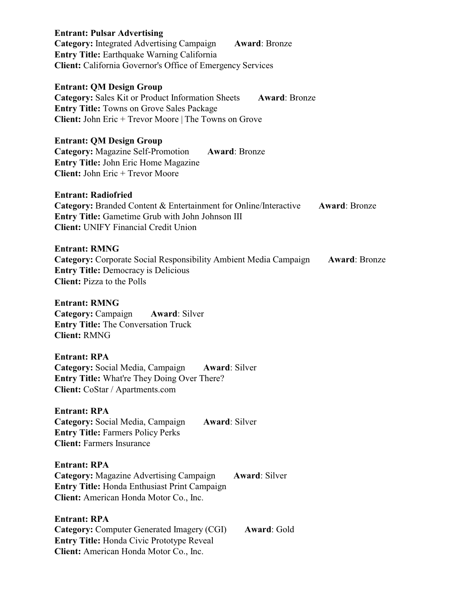| <b>Entrant: Pulsar Advertising</b><br><b>Category:</b> Integrated Advertising Campaign<br><b>Award: Bronze</b><br>Entry Title: Earthquake Warning California<br><b>Client:</b> California Governor's Office of Emergency Services       |
|-----------------------------------------------------------------------------------------------------------------------------------------------------------------------------------------------------------------------------------------|
| <b>Entrant: QM Design Group</b><br><b>Category:</b> Sales Kit or Product Information Sheets<br><b>Award: Bronze</b><br><b>Entry Title: Towns on Grove Sales Package</b><br><b>Client:</b> John Eric + Trevor Moore   The Towns on Grove |
| <b>Entrant: QM Design Group</b><br><b>Category:</b> Magazine Self-Promotion<br><b>Award: Bronze</b><br><b>Entry Title: John Eric Home Magazine</b><br><b>Client:</b> John Eric + Trevor Moore                                           |
| <b>Entrant: Radiofried</b><br><b>Category:</b> Branded Content & Entertainment for Online/Interactive<br><b>Award: Bronze</b><br><b>Entry Title:</b> Gametime Grub with John Johnson III<br><b>Client: UNIFY Financial Credit Union</b> |
| <b>Entrant: RMNG</b><br><b>Category:</b> Corporate Social Responsibility Ambient Media Campaign<br><b>Award: Bronze</b><br><b>Entry Title: Democracy is Delicious</b><br><b>Client:</b> Pizza to the Polls                              |
| <b>Entrant: RMNG</b><br><b>Category:</b> Campaign <b>Award</b> : Silver<br><b>Entry Title:</b> The Conversation Truck<br><b>Client: RMNG</b>                                                                                            |
| <b>Entrant: RPA</b><br>Category: Social Media, Campaign<br><b>Award: Silver</b><br><b>Entry Title:</b> What're They Doing Over There?<br>Client: CoStar / Apartments.com                                                                |
| <b>Entrant: RPA</b><br>Category: Social Media, Campaign<br><b>Award: Silver</b><br><b>Entry Title: Farmers Policy Perks</b><br><b>Client: Farmers Insurance</b>                                                                         |
| <b>Entrant: RPA</b><br><b>Category:</b> Magazine Advertising Campaign<br><b>Award: Silver</b><br>Entry Title: Honda Enthusiast Print Campaign<br>Client: American Honda Motor Co., Inc.                                                 |
| <b>Entrant: RPA</b><br><b>Category: Computer Generated Imagery (CGI)</b><br>Award: Gold<br><b>Entry Title: Honda Civic Prototype Reveal</b><br>Client: American Honda Motor Co., Inc.                                                   |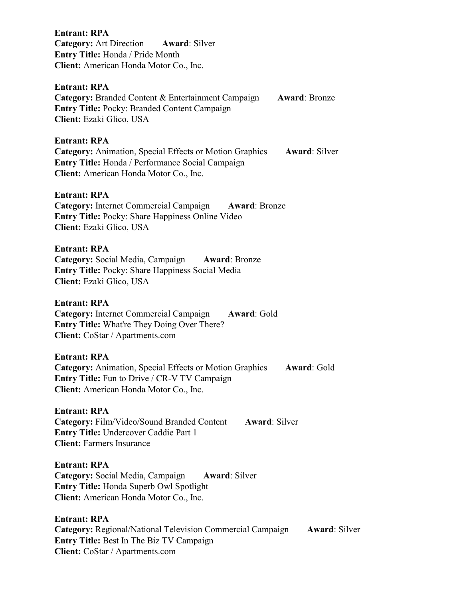**Entrant: RPA Category:** Art Direction **Award**: Silver **Entry Title:** Honda / Pride Month **Client:** American Honda Motor Co., Inc.

## **Entrant: RPA**

**Category:** Branded Content & Entertainment Campaign **Award**: Bronze **Entry Title:** Pocky: Branded Content Campaign **Client:** Ezaki Glico, USA

### **Entrant: RPA**

**Category:** Animation, Special Effects or Motion Graphics **Award**: Silver **Entry Title:** Honda / Performance Social Campaign **Client:** American Honda Motor Co., Inc.

#### **Entrant: RPA**

**Category:** Internet Commercial Campaign **Award**: Bronze **Entry Title:** Pocky: Share Happiness Online Video **Client:** Ezaki Glico, USA

## **Entrant: RPA**

**Category:** Social Media, Campaign **Award**: Bronze **Entry Title:** Pocky: Share Happiness Social Media **Client:** Ezaki Glico, USA

### **Entrant: RPA**

**Category:** Internet Commercial Campaign **Award**: Gold **Entry Title:** What're They Doing Over There? **Client:** CoStar / Apartments.com

#### **Entrant: RPA**

**Category:** Animation, Special Effects or Motion Graphics **Award**: Gold **Entry Title:** Fun to Drive / CR-V TV Campaign **Client:** American Honda Motor Co., Inc.

# **Entrant: RPA**

**Category:** Film/Video/Sound Branded Content **Award**: Silver **Entry Title:** Undercover Caddie Part 1 **Client:** Farmers Insurance

#### **Entrant: RPA**

**Category:** Social Media, Campaign **Award**: Silver **Entry Title:** Honda Superb Owl Spotlight **Client:** American Honda Motor Co., Inc.

### **Entrant: RPA**

**Category:** Regional/National Television Commercial Campaign **Award**: Silver **Entry Title:** Best In The Biz TV Campaign **Client:** CoStar / Apartments.com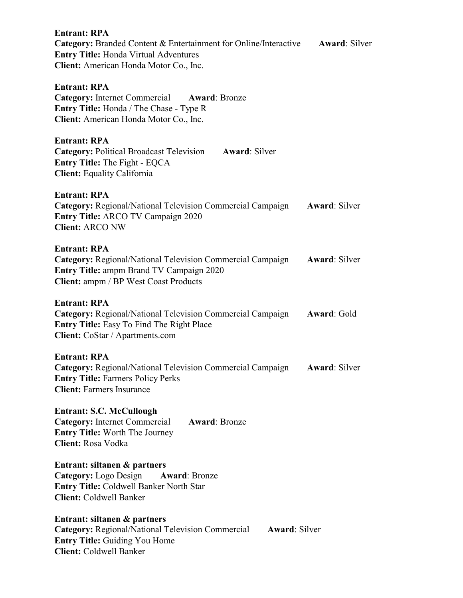| <b>Entrant: RPA</b><br><b>Category:</b> Branded Content & Entertainment for Online/Interactive<br><b>Entry Title: Honda Virtual Adventures</b><br>Client: American Honda Motor Co., Inc.    | <b>Award: Silver</b> |
|---------------------------------------------------------------------------------------------------------------------------------------------------------------------------------------------|----------------------|
| <b>Entrant: RPA</b><br>Category: Internet Commercial Award: Bronze<br>Entry Title: Honda / The Chase - Type R<br>Client: American Honda Motor Co., Inc.                                     |                      |
| <b>Entrant: RPA</b><br><b>Category: Political Broadcast Television</b><br><b>Award: Silver</b><br>Entry Title: The Fight - EQCA<br><b>Client:</b> Equality California                       |                      |
| <b>Entrant: RPA</b><br><b>Category:</b> Regional/National Television Commercial Campaign<br><b>Entry Title: ARCO TV Campaign 2020</b><br><b>Client: ARCO NW</b>                             | <b>Award: Silver</b> |
| <b>Entrant: RPA</b><br><b>Category:</b> Regional/National Television Commercial Campaign<br><b>Entry Title: ampm Brand TV Campaign 2020</b><br><b>Client:</b> ampm / BP West Coast Products | <b>Award: Silver</b> |
| <b>Entrant: RPA</b><br>Category: Regional/National Television Commercial Campaign<br><b>Entry Title:</b> Easy To Find The Right Place<br>Client: CoStar / Apartments.com                    | Award: Gold          |
| <b>Entrant: RPA</b><br><b>Category: Regional/National Television Commercial Campaign</b><br><b>Entry Title: Farmers Policy Perks</b><br><b>Client: Farmers Insurance</b>                    | <b>Award: Silver</b> |
| <b>Entrant: S.C. McCullough</b><br><b>Category:</b> Internet Commercial<br><b>Award: Bronze</b><br><b>Entry Title: Worth The Journey</b><br><b>Client: Rosa Vodka</b>                       |                      |
| Entrant: siltanen & partners<br><b>Category:</b> Logo Design<br><b>Award: Bronze</b><br><b>Entry Title: Coldwell Banker North Star</b><br><b>Client:</b> Coldwell Banker                    |                      |
| Entrant: siltanen & partners<br><b>Category:</b> Regional/National Television Commercial<br><b>Award: Silver</b><br><b>Entry Title: Guiding You Home</b><br><b>Client: Coldwell Banker</b>  |                      |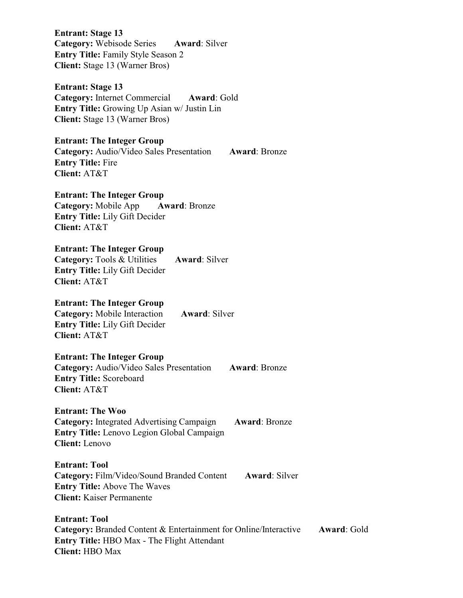**Entrant: Stage 13 Category:** Webisode Series **Award**: Silver **Entry Title:** Family Style Season 2 **Client:** Stage 13 (Warner Bros)

**Entrant: Stage 13 Category:** Internet Commercial **Award**: Gold **Entry Title:** Growing Up Asian w/ Justin Lin **Client:** Stage 13 (Warner Bros)

# **Entrant: The Integer Group**

**Category:** Audio/Video Sales Presentation **Award**: Bronze **Entry Title:** Fire **Client:** AT&T

# **Entrant: The Integer Group**

**Category:** Mobile App **Award**: Bronze **Entry Title:** Lily Gift Decider **Client:** AT&T

## **Entrant: The Integer Group**

**Category:** Tools & Utilities **Award**: Silver **Entry Title:** Lily Gift Decider **Client:** AT&T

## **Entrant: The Integer Group**

**Category:** Mobile Interaction **Award**: Silver **Entry Title:** Lily Gift Decider **Client:** AT&T

# **Entrant: The Integer Group**

**Category:** Audio/Video Sales Presentation **Award**: Bronze **Entry Title:** Scoreboard **Client:** AT&T

# **Entrant: The Woo**

**Entrant: Tool** 

**Category:** Integrated Advertising Campaign **Award**: Bronze **Entry Title:** Lenovo Legion Global Campaign **Client:** Lenovo

# **Entrant: Tool Category:** Film/Video/Sound Branded Content **Award**: Silver **Entry Title:** Above The Waves

**Client:** Kaiser Permanente

**Category:** Branded Content & Entertainment for Online/Interactive **Award**: Gold

**Entry Title:** HBO Max - The Flight Attendant **Client:** HBO Max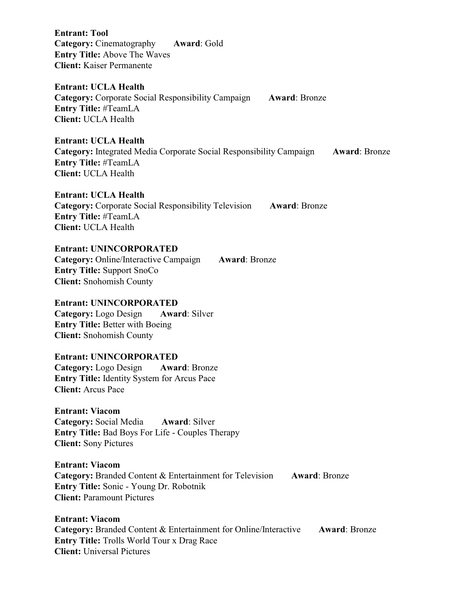**Entrant: Tool Category:** Cinematography **Award**: Gold **Entry Title:** Above The Waves **Client:** Kaiser Permanente

**Entrant: UCLA Health** 

**Category:** Corporate Social Responsibility Campaign **Award**: Bronze **Entry Title:** #TeamLA **Client:** UCLA Health

**Entrant: UCLA Health Category:** Integrated Media Corporate Social Responsibility Campaign **Award**: Bronze **Entry Title:** #TeamLA **Client:** UCLA Health

**Entrant: UCLA Health Category:** Corporate Social Responsibility Television **Award**: Bronze **Entry Title:** #TeamLA **Client:** UCLA Health

**Entrant: UNINCORPORATED Category:** Online/Interactive Campaign **Award**: Bronze **Entry Title:** Support SnoCo **Client:** Snohomish County

**Entrant: UNINCORPORATED Category:** Logo Design **Award**: Silver **Entry Title:** Better with Boeing **Client:** Snohomish County

# **Entrant: UNINCORPORATED Category:** Logo Design **Award**: Bronze

**Entry Title:** Identity System for Arcus Pace **Client:** Arcus Pace

**Entrant: Viacom Category:** Social Media **Award**: Silver **Entry Title:** Bad Boys For Life - Couples Therapy **Client:** Sony Pictures

# **Entrant: Viacom Category:** Branded Content & Entertainment for Television **Award**: Bronze **Entry Title:** Sonic - Young Dr. Robotnik **Client:** Paramount Pictures

**Entrant: Viacom Category:** Branded Content & Entertainment for Online/Interactive **Award**: Bronze **Entry Title:** Trolls World Tour x Drag Race **Client:** Universal Pictures